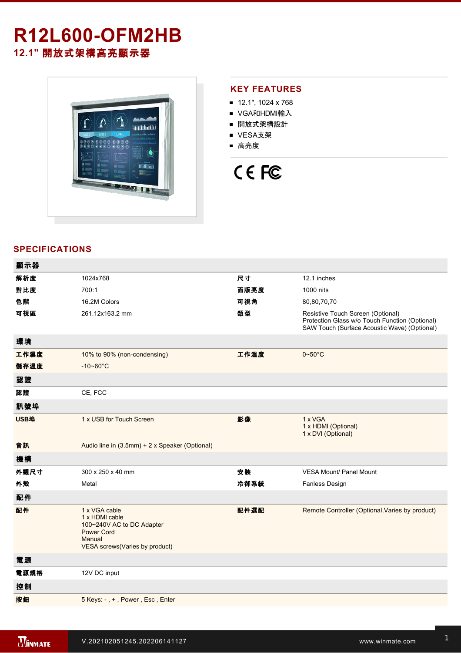# **R12L600-OFM2HB 12.1"** 開放式架構高亮顯示器



#### **KEY FEATURES**

- $12.1$ ", 1024 x 768
- VGA和HDMI輸入
- 開放式架構設計
- VESA支架
- 高亮度

# CE FC

## **SPECIFICATIONS**

| 顯示器  |                                                                                                                               |      |                                                                                                                                     |
|------|-------------------------------------------------------------------------------------------------------------------------------|------|-------------------------------------------------------------------------------------------------------------------------------------|
| 解析度  | 1024x768                                                                                                                      | 尺寸   | 12.1 inches                                                                                                                         |
| 對比度  | 700:1                                                                                                                         | 面版亮度 | 1000 nits                                                                                                                           |
| 色階   | 16.2M Colors                                                                                                                  | 可視角  | 80,80,70,70                                                                                                                         |
| 可視區  | 261.12x163.2 mm                                                                                                               | 類型   | Resistive Touch Screen (Optional)<br>Protection Glass w/o Touch Function (Optional)<br>SAW Touch (Surface Acoustic Wave) (Optional) |
| 環境   |                                                                                                                               |      |                                                                                                                                     |
| 工作濕度 | 10% to 90% (non-condensing)                                                                                                   | 工作溫度 | $0 - 50$ °C                                                                                                                         |
| 儲存溫度 | $-10 - 60^{\circ}$ C                                                                                                          |      |                                                                                                                                     |
| 認證   |                                                                                                                               |      |                                                                                                                                     |
| 認證   | CE, FCC                                                                                                                       |      |                                                                                                                                     |
| 訊號埠  |                                                                                                                               |      |                                                                                                                                     |
| USB埠 | 1 x USB for Touch Screen                                                                                                      | 影像   | 1 x VGA<br>1 x HDMI (Optional)<br>1 x DVI (Optional)                                                                                |
| 音訊   | Audio line in (3.5mm) + 2 x Speaker (Optional)                                                                                |      |                                                                                                                                     |
| 機構   |                                                                                                                               |      |                                                                                                                                     |
| 外觀尺寸 | 300 x 250 x 40 mm                                                                                                             | 安装   | <b>VESA Mount/ Panel Mount</b>                                                                                                      |
| 外殼   | Metal                                                                                                                         | 冷卻系統 | <b>Fanless Design</b>                                                                                                               |
| 配件   |                                                                                                                               |      |                                                                                                                                     |
| 配件   | 1 x VGA cable<br>1 x HDMI cable<br>100~240V AC to DC Adapter<br><b>Power Cord</b><br>Manual<br>VESA screws(Varies by product) | 配件選配 | Remote Controller (Optional, Varies by product)                                                                                     |
| 電源   |                                                                                                                               |      |                                                                                                                                     |
| 電源規格 | 12V DC input                                                                                                                  |      |                                                                                                                                     |
| 控制   |                                                                                                                               |      |                                                                                                                                     |
| 按鈕   | 5 Keys: -, +, Power, Esc, Enter                                                                                               |      |                                                                                                                                     |
|      |                                                                                                                               |      |                                                                                                                                     |

**DIMENSIONS**  UNIT:MM